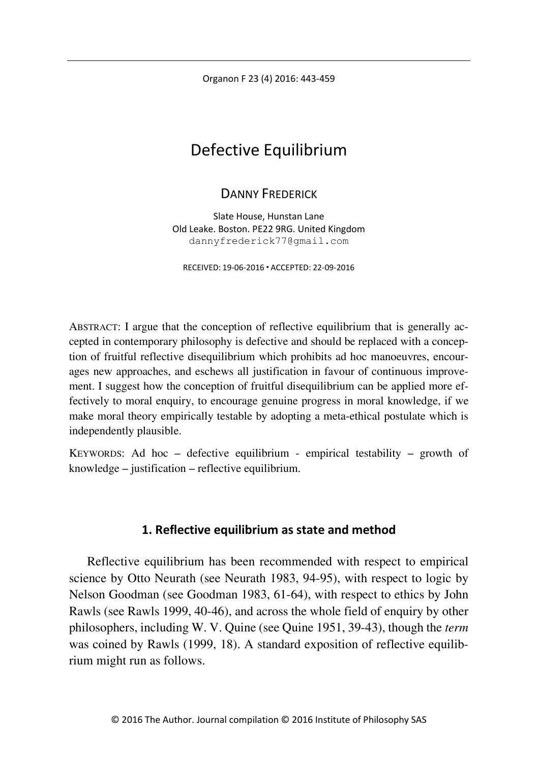Organon F 23 (4) 2016: 443-459

# Defective Equilibrium

# DANNY FREDERICK

Slate House, Hunstan Lane Old Leake. Boston. PE22 9RG. United Kingdom dannyfrederick77@gmail.com

RECEIVED: 19-06-2016 ACCEPTED: 22-09-2016

ABSTRACT: I argue that the conception of reflective equilibrium that is generally accepted in contemporary philosophy is defective and should be replaced with a conception of fruitful reflective disequilibrium which prohibits ad hoc manoeuvres, encourages new approaches, and eschews all justification in favour of continuous improvement. I suggest how the conception of fruitful disequilibrium can be applied more effectively to moral enquiry, to encourage genuine progress in moral knowledge, if we make moral theory empirically testable by adopting a meta-ethical postulate which is independently plausible.

KEYWORDS: Ad hoc – defective equilibrium - empirical testability – growth of knowledge – justification – reflective equilibrium.

# **1. Reflective equilibrium as state and method**

Reflective equilibrium has been recommended with respect to empirical science by Otto Neurath (see Neurath 1983, 94-95), with respect to logic by Nelson Goodman (see Goodman 1983, 61-64), with respect to ethics by John Rawls (see Rawls 1999, 40-46), and across the whole field of enquiry by other philosophers, including W. V. Quine (see Quine 1951, 39-43), though the *term* was coined by Rawls (1999, 18). A standard exposition of reflective equilibrium might run as follows.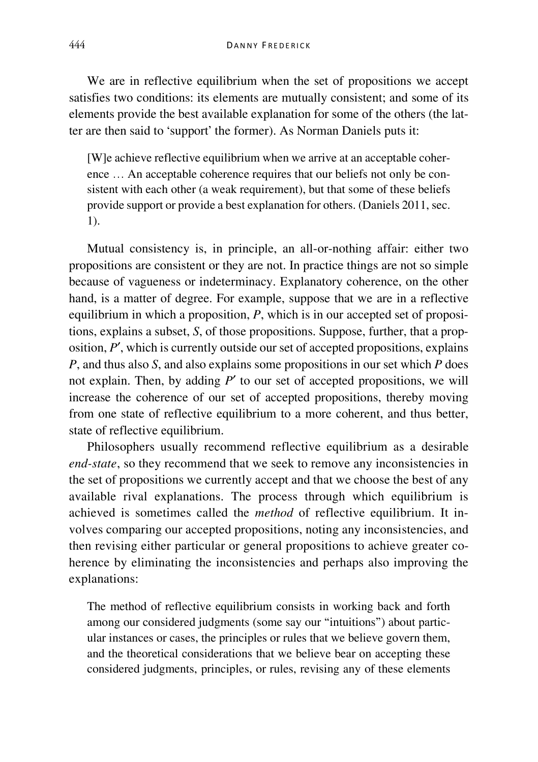We are in reflective equilibrium when the set of propositions we accept satisfies two conditions: its elements are mutually consistent; and some of its elements provide the best available explanation for some of the others (the latter are then said to 'support' the former). As Norman Daniels puts it:

[W]e achieve reflective equilibrium when we arrive at an acceptable coherence … An acceptable coherence requires that our beliefs not only be consistent with each other (a weak requirement), but that some of these beliefs provide support or provide a best explanation for others. (Daniels 2011, sec. 1).

Mutual consistency is, in principle, an all-or-nothing affair: either two propositions are consistent or they are not. In practice things are not so simple because of vagueness or indeterminacy. Explanatory coherence, on the other hand, is a matter of degree. For example, suppose that we are in a reflective equilibrium in which a proposition, *P*, which is in our accepted set of propositions, explains a subset, *S*, of those propositions. Suppose, further, that a proposition, *P*′, which is currently outside our set of accepted propositions, explains *P*, and thus also *S*, and also explains some propositions in our set which *P* does not explain. Then, by adding *P*′ to our set of accepted propositions, we will increase the coherence of our set of accepted propositions, thereby moving from one state of reflective equilibrium to a more coherent, and thus better, state of reflective equilibrium.

Philosophers usually recommend reflective equilibrium as a desirable *end-state*, so they recommend that we seek to remove any inconsistencies in the set of propositions we currently accept and that we choose the best of any available rival explanations. The process through which equilibrium is achieved is sometimes called the *method* of reflective equilibrium. It involves comparing our accepted propositions, noting any inconsistencies, and then revising either particular or general propositions to achieve greater coherence by eliminating the inconsistencies and perhaps also improving the explanations:

The method of reflective equilibrium consists in working back and forth among our considered judgments (some say our "intuitions") about particular instances or cases, the principles or rules that we believe govern them, and the theoretical considerations that we believe bear on accepting these considered judgments, principles, or rules, revising any of these elements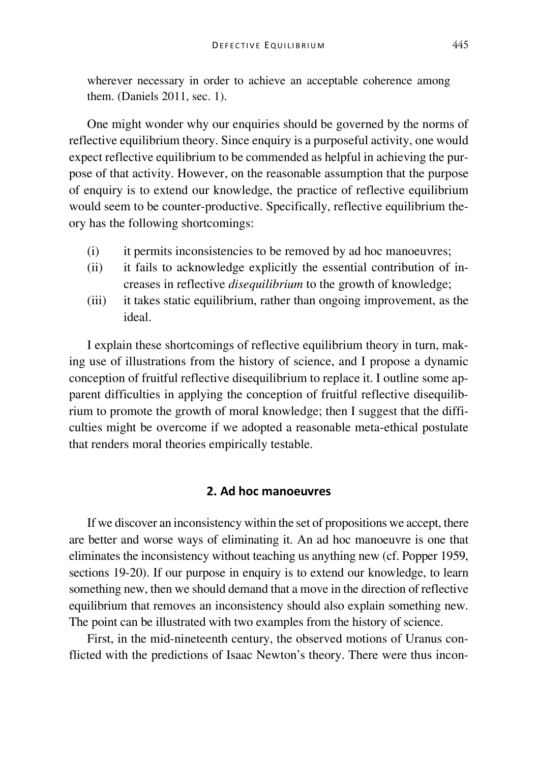wherever necessary in order to achieve an acceptable coherence among them. (Daniels 2011, sec. 1).

One might wonder why our enquiries should be governed by the norms of reflective equilibrium theory. Since enquiry is a purposeful activity, one would expect reflective equilibrium to be commended as helpful in achieving the purpose of that activity. However, on the reasonable assumption that the purpose of enquiry is to extend our knowledge, the practice of reflective equilibrium would seem to be counter-productive. Specifically, reflective equilibrium theory has the following shortcomings:

- (i) it permits inconsistencies to be removed by ad hoc manoeuvres;
- (ii) it fails to acknowledge explicitly the essential contribution of increases in reflective *disequilibrium* to the growth of knowledge;
- (iii) it takes static equilibrium, rather than ongoing improvement, as the ideal.

I explain these shortcomings of reflective equilibrium theory in turn, making use of illustrations from the history of science, and I propose a dynamic conception of fruitful reflective disequilibrium to replace it. I outline some apparent difficulties in applying the conception of fruitful reflective disequilibrium to promote the growth of moral knowledge; then I suggest that the difficulties might be overcome if we adopted a reasonable meta-ethical postulate that renders moral theories empirically testable.

## **2. Ad hoc manoeuvres**

If we discover an inconsistency within the set of propositions we accept, there are better and worse ways of eliminating it. An ad hoc manoeuvre is one that eliminates the inconsistency without teaching us anything new (cf. Popper 1959, sections 19-20). If our purpose in enquiry is to extend our knowledge, to learn something new, then we should demand that a move in the direction of reflective equilibrium that removes an inconsistency should also explain something new. The point can be illustrated with two examples from the history of science.

First, in the mid-nineteenth century, the observed motions of Uranus conflicted with the predictions of Isaac Newton's theory. There were thus incon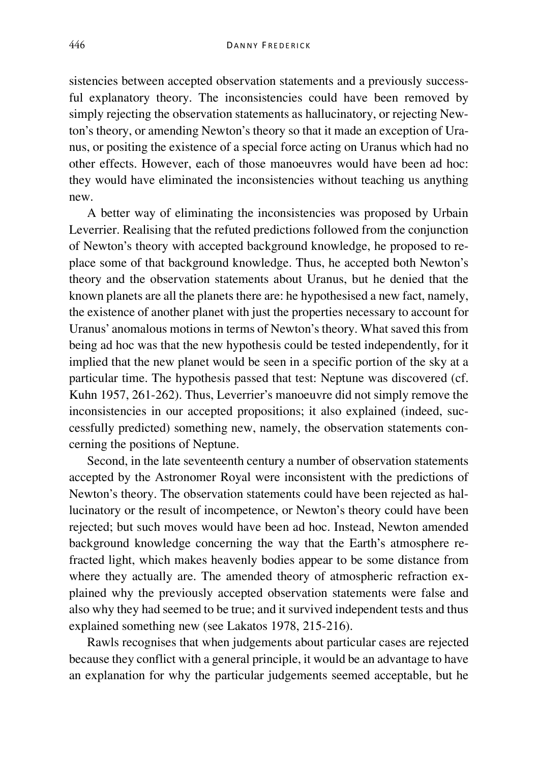sistencies between accepted observation statements and a previously successful explanatory theory. The inconsistencies could have been removed by simply rejecting the observation statements as hallucinatory, or rejecting Newton's theory, or amending Newton's theory so that it made an exception of Uranus, or positing the existence of a special force acting on Uranus which had no other effects. However, each of those manoeuvres would have been ad hoc: they would have eliminated the inconsistencies without teaching us anything new.

A better way of eliminating the inconsistencies was proposed by Urbain Leverrier. Realising that the refuted predictions followed from the conjunction of Newton's theory with accepted background knowledge, he proposed to replace some of that background knowledge. Thus, he accepted both Newton's theory and the observation statements about Uranus, but he denied that the known planets are all the planets there are: he hypothesised a new fact, namely, the existence of another planet with just the properties necessary to account for Uranus' anomalous motions in terms of Newton's theory. What saved this from being ad hoc was that the new hypothesis could be tested independently, for it implied that the new planet would be seen in a specific portion of the sky at a particular time. The hypothesis passed that test: Neptune was discovered (cf. Kuhn 1957, 261-262). Thus, Leverrier's manoeuvre did not simply remove the inconsistencies in our accepted propositions; it also explained (indeed, successfully predicted) something new, namely, the observation statements concerning the positions of Neptune.

Second, in the late seventeenth century a number of observation statements accepted by the Astronomer Royal were inconsistent with the predictions of Newton's theory. The observation statements could have been rejected as hallucinatory or the result of incompetence, or Newton's theory could have been rejected; but such moves would have been ad hoc. Instead, Newton amended background knowledge concerning the way that the Earth's atmosphere refracted light, which makes heavenly bodies appear to be some distance from where they actually are. The amended theory of atmospheric refraction explained why the previously accepted observation statements were false and also why they had seemed to be true; and it survived independent tests and thus explained something new (see Lakatos 1978, 215-216).

Rawls recognises that when judgements about particular cases are rejected because they conflict with a general principle, it would be an advantage to have an explanation for why the particular judgements seemed acceptable, but he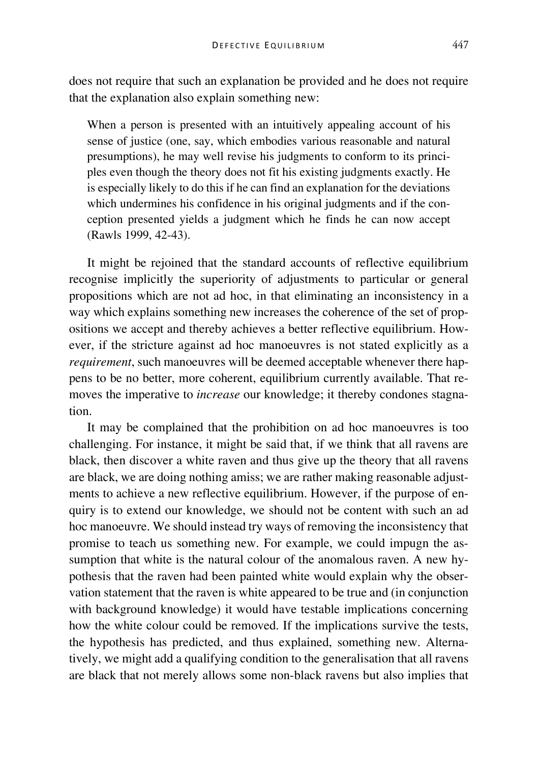does not require that such an explanation be provided and he does not require that the explanation also explain something new:

When a person is presented with an intuitively appealing account of his sense of justice (one, say, which embodies various reasonable and natural presumptions), he may well revise his judgments to conform to its principles even though the theory does not fit his existing judgments exactly. He is especially likely to do this if he can find an explanation for the deviations which undermines his confidence in his original judgments and if the conception presented yields a judgment which he finds he can now accept (Rawls 1999, 42-43).

It might be rejoined that the standard accounts of reflective equilibrium recognise implicitly the superiority of adjustments to particular or general propositions which are not ad hoc, in that eliminating an inconsistency in a way which explains something new increases the coherence of the set of propositions we accept and thereby achieves a better reflective equilibrium. However, if the stricture against ad hoc manoeuvres is not stated explicitly as a *requirement*, such manoeuvres will be deemed acceptable whenever there happens to be no better, more coherent, equilibrium currently available. That removes the imperative to *increase* our knowledge; it thereby condones stagnation.

It may be complained that the prohibition on ad hoc manoeuvres is too challenging. For instance, it might be said that, if we think that all ravens are black, then discover a white raven and thus give up the theory that all ravens are black, we are doing nothing amiss; we are rather making reasonable adjustments to achieve a new reflective equilibrium. However, if the purpose of enquiry is to extend our knowledge, we should not be content with such an ad hoc manoeuvre. We should instead try ways of removing the inconsistency that promise to teach us something new. For example, we could impugn the assumption that white is the natural colour of the anomalous raven. A new hypothesis that the raven had been painted white would explain why the observation statement that the raven is white appeared to be true and (in conjunction with background knowledge) it would have testable implications concerning how the white colour could be removed. If the implications survive the tests, the hypothesis has predicted, and thus explained, something new. Alternatively, we might add a qualifying condition to the generalisation that all ravens are black that not merely allows some non-black ravens but also implies that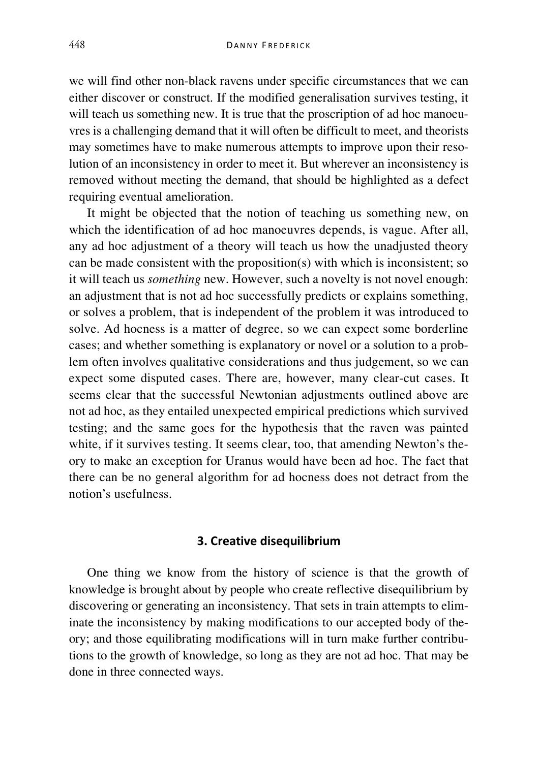we will find other non-black ravens under specific circumstances that we can either discover or construct. If the modified generalisation survives testing, it will teach us something new. It is true that the proscription of ad hoc manoeuvres is a challenging demand that it will often be difficult to meet, and theorists may sometimes have to make numerous attempts to improve upon their resolution of an inconsistency in order to meet it. But wherever an inconsistency is removed without meeting the demand, that should be highlighted as a defect requiring eventual amelioration.

It might be objected that the notion of teaching us something new, on which the identification of ad hoc manoeuvres depends, is vague. After all, any ad hoc adjustment of a theory will teach us how the unadjusted theory can be made consistent with the proposition(s) with which is inconsistent; so it will teach us *something* new. However, such a novelty is not novel enough: an adjustment that is not ad hoc successfully predicts or explains something, or solves a problem, that is independent of the problem it was introduced to solve. Ad hocness is a matter of degree, so we can expect some borderline cases; and whether something is explanatory or novel or a solution to a problem often involves qualitative considerations and thus judgement, so we can expect some disputed cases. There are, however, many clear-cut cases. It seems clear that the successful Newtonian adjustments outlined above are not ad hoc, as they entailed unexpected empirical predictions which survived testing; and the same goes for the hypothesis that the raven was painted white, if it survives testing. It seems clear, too, that amending Newton's theory to make an exception for Uranus would have been ad hoc. The fact that there can be no general algorithm for ad hocness does not detract from the notion's usefulness.

#### **3. Creative disequilibrium**

One thing we know from the history of science is that the growth of knowledge is brought about by people who create reflective disequilibrium by discovering or generating an inconsistency. That sets in train attempts to eliminate the inconsistency by making modifications to our accepted body of theory; and those equilibrating modifications will in turn make further contributions to the growth of knowledge, so long as they are not ad hoc. That may be done in three connected ways.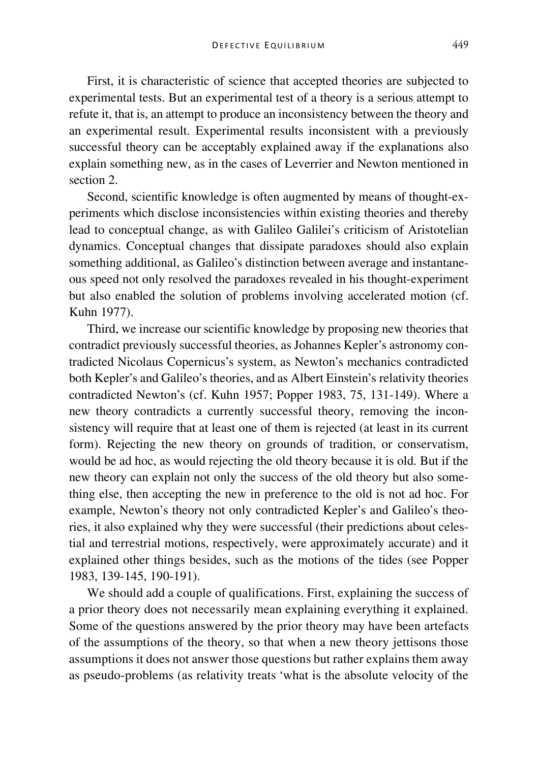First, it is characteristic of science that accepted theories are subjected to experimental tests. But an experimental test of a theory is a serious attempt to refute it, that is, an attempt to produce an inconsistency between the theory and an experimental result. Experimental results inconsistent with a previously successful theory can be acceptably explained away if the explanations also explain something new, as in the cases of Leverrier and Newton mentioned in section 2.

Second, scientific knowledge is often augmented by means of thought-experiments which disclose inconsistencies within existing theories and thereby lead to conceptual change, as with Galileo Galilei's criticism of Aristotelian dynamics. Conceptual changes that dissipate paradoxes should also explain something additional, as Galileo's distinction between average and instantaneous speed not only resolved the paradoxes revealed in his thought-experiment but also enabled the solution of problems involving accelerated motion (cf. Kuhn 1977).

Third, we increase our scientific knowledge by proposing new theories that contradict previously successful theories, as Johannes Kepler's astronomy contradicted Nicolaus Copernicus's system, as Newton's mechanics contradicted both Kepler's and Galileo's theories, and as Albert Einstein's relativity theories contradicted Newton's (cf. Kuhn 1957; Popper 1983, 75, 131-149). Where a new theory contradicts a currently successful theory, removing the inconsistency will require that at least one of them is rejected (at least in its current form). Rejecting the new theory on grounds of tradition, or conservatism, would be ad hoc, as would rejecting the old theory because it is old. But if the new theory can explain not only the success of the old theory but also something else, then accepting the new in preference to the old is not ad hoc. For example, Newton's theory not only contradicted Kepler's and Galileo's theories, it also explained why they were successful (their predictions about celestial and terrestrial motions, respectively, were approximately accurate) and it explained other things besides, such as the motions of the tides (see Popper 1983, 139-145, 190-191).

We should add a couple of qualifications. First, explaining the success of a prior theory does not necessarily mean explaining everything it explained. Some of the questions answered by the prior theory may have been artefacts of the assumptions of the theory, so that when a new theory jettisons those assumptions it does not answer those questions but rather explains them away as pseudo-problems (as relativity treats 'what is the absolute velocity of the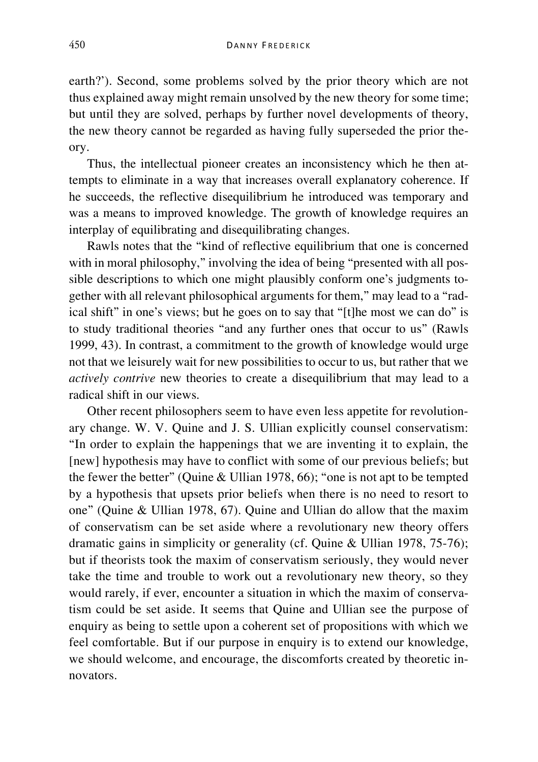earth?'). Second, some problems solved by the prior theory which are not thus explained away might remain unsolved by the new theory for some time; but until they are solved, perhaps by further novel developments of theory, the new theory cannot be regarded as having fully superseded the prior theory.

Thus, the intellectual pioneer creates an inconsistency which he then attempts to eliminate in a way that increases overall explanatory coherence. If he succeeds, the reflective disequilibrium he introduced was temporary and was a means to improved knowledge. The growth of knowledge requires an interplay of equilibrating and disequilibrating changes.

Rawls notes that the "kind of reflective equilibrium that one is concerned with in moral philosophy," involving the idea of being "presented with all possible descriptions to which one might plausibly conform one's judgments together with all relevant philosophical arguments for them," may lead to a "radical shift" in one's views; but he goes on to say that "[t]he most we can do" is to study traditional theories "and any further ones that occur to us" (Rawls 1999, 43). In contrast, a commitment to the growth of knowledge would urge not that we leisurely wait for new possibilities to occur to us, but rather that we *actively contrive* new theories to create a disequilibrium that may lead to a radical shift in our views.

Other recent philosophers seem to have even less appetite for revolutionary change. W. V. Quine and J. S. Ullian explicitly counsel conservatism: "In order to explain the happenings that we are inventing it to explain, the [new] hypothesis may have to conflict with some of our previous beliefs; but the fewer the better" (Quine & Ullian 1978, 66); "one is not apt to be tempted by a hypothesis that upsets prior beliefs when there is no need to resort to one" (Quine & Ullian 1978, 67). Quine and Ullian do allow that the maxim of conservatism can be set aside where a revolutionary new theory offers dramatic gains in simplicity or generality (cf. Quine & Ullian 1978, 75-76); but if theorists took the maxim of conservatism seriously, they would never take the time and trouble to work out a revolutionary new theory, so they would rarely, if ever, encounter a situation in which the maxim of conservatism could be set aside. It seems that Quine and Ullian see the purpose of enquiry as being to settle upon a coherent set of propositions with which we feel comfortable. But if our purpose in enquiry is to extend our knowledge, we should welcome, and encourage, the discomforts created by theoretic innovators.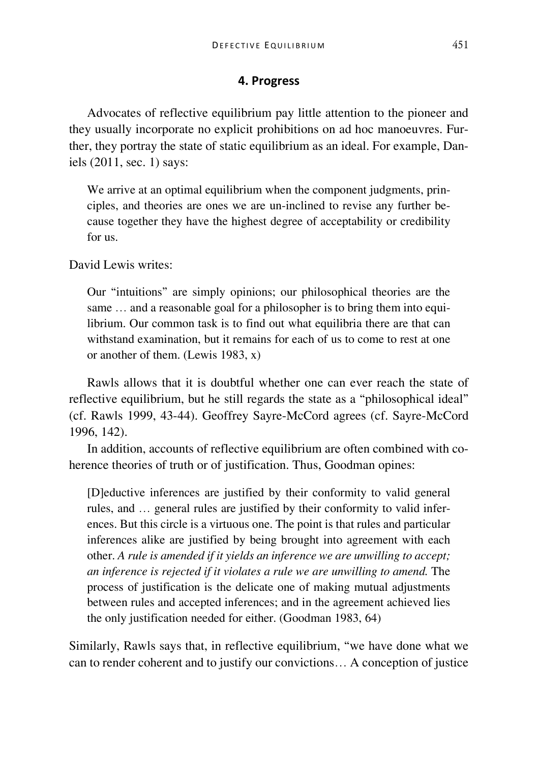### **4. Progress**

Advocates of reflective equilibrium pay little attention to the pioneer and they usually incorporate no explicit prohibitions on ad hoc manoeuvres. Further, they portray the state of static equilibrium as an ideal. For example, Daniels (2011, sec. 1) says:

We arrive at an optimal equilibrium when the component judgments, principles, and theories are ones we are un-inclined to revise any further because together they have the highest degree of acceptability or credibility for us.

David Lewis writes:

Our "intuitions" are simply opinions; our philosophical theories are the same … and a reasonable goal for a philosopher is to bring them into equilibrium. Our common task is to find out what equilibria there are that can withstand examination, but it remains for each of us to come to rest at one or another of them. (Lewis 1983, x)

Rawls allows that it is doubtful whether one can ever reach the state of reflective equilibrium, but he still regards the state as a "philosophical ideal" (cf. Rawls 1999, 43-44). Geoffrey Sayre-McCord agrees (cf. Sayre-McCord 1996, 142).

In addition, accounts of reflective equilibrium are often combined with coherence theories of truth or of justification. Thus, Goodman opines:

[D]eductive inferences are justified by their conformity to valid general rules, and … general rules are justified by their conformity to valid inferences. But this circle is a virtuous one. The point is that rules and particular inferences alike are justified by being brought into agreement with each other. *A rule is amended if it yields an inference we are unwilling to accept; an inference is rejected if it violates a rule we are unwilling to amend.* The process of justification is the delicate one of making mutual adjustments between rules and accepted inferences; and in the agreement achieved lies the only justification needed for either. (Goodman 1983, 64)

Similarly, Rawls says that, in reflective equilibrium, "we have done what we can to render coherent and to justify our convictions… A conception of justice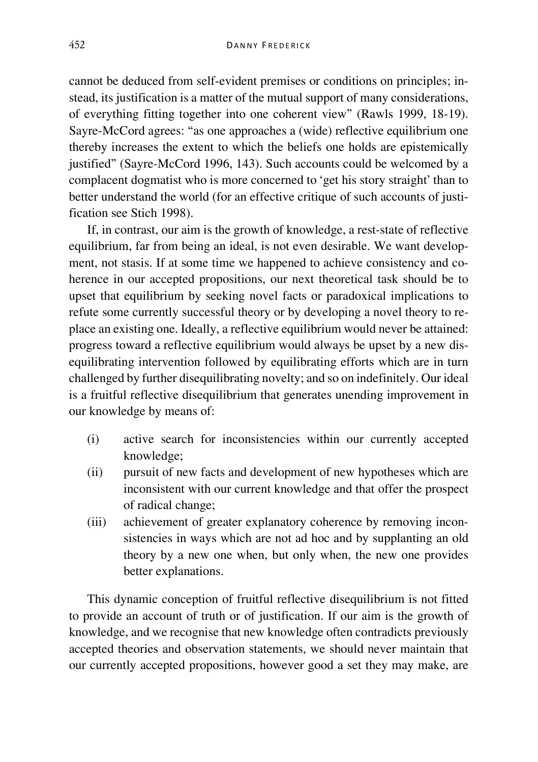cannot be deduced from self-evident premises or conditions on principles; instead, its justification is a matter of the mutual support of many considerations, of everything fitting together into one coherent view" (Rawls 1999, 18-19). Sayre-McCord agrees: "as one approaches a (wide) reflective equilibrium one thereby increases the extent to which the beliefs one holds are epistemically justified" (Sayre-McCord 1996, 143). Such accounts could be welcomed by a complacent dogmatist who is more concerned to 'get his story straight' than to better understand the world (for an effective critique of such accounts of justification see Stich 1998).

If, in contrast, our aim is the growth of knowledge, a rest-state of reflective equilibrium, far from being an ideal, is not even desirable. We want development, not stasis. If at some time we happened to achieve consistency and coherence in our accepted propositions, our next theoretical task should be to upset that equilibrium by seeking novel facts or paradoxical implications to refute some currently successful theory or by developing a novel theory to replace an existing one. Ideally, a reflective equilibrium would never be attained: progress toward a reflective equilibrium would always be upset by a new disequilibrating intervention followed by equilibrating efforts which are in turn challenged by further disequilibrating novelty; and so on indefinitely. Our ideal is a fruitful reflective disequilibrium that generates unending improvement in our knowledge by means of:

- (i) active search for inconsistencies within our currently accepted knowledge;
- (ii) pursuit of new facts and development of new hypotheses which are inconsistent with our current knowledge and that offer the prospect of radical change;
- (iii) achievement of greater explanatory coherence by removing inconsistencies in ways which are not ad hoc and by supplanting an old theory by a new one when, but only when, the new one provides better explanations.

This dynamic conception of fruitful reflective disequilibrium is not fitted to provide an account of truth or of justification. If our aim is the growth of knowledge, and we recognise that new knowledge often contradicts previously accepted theories and observation statements, we should never maintain that our currently accepted propositions, however good a set they may make, are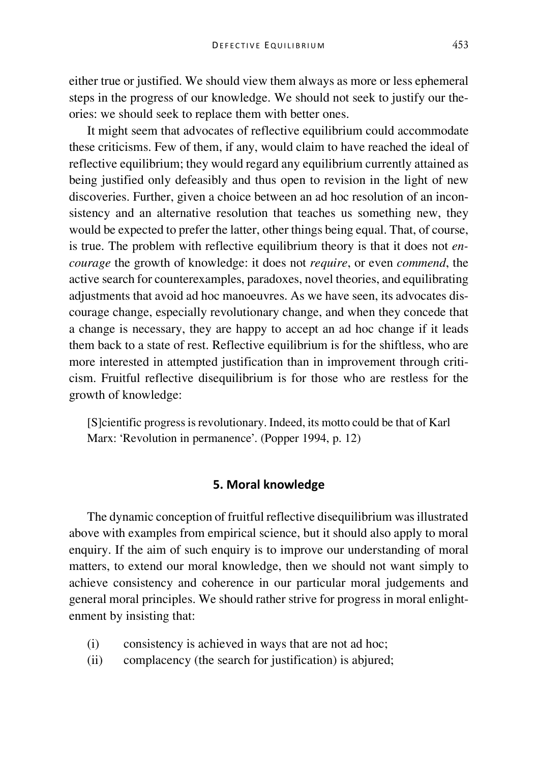either true or justified. We should view them always as more or less ephemeral steps in the progress of our knowledge. We should not seek to justify our theories: we should seek to replace them with better ones.

It might seem that advocates of reflective equilibrium could accommodate these criticisms. Few of them, if any, would claim to have reached the ideal of reflective equilibrium; they would regard any equilibrium currently attained as being justified only defeasibly and thus open to revision in the light of new discoveries. Further, given a choice between an ad hoc resolution of an inconsistency and an alternative resolution that teaches us something new, they would be expected to prefer the latter, other things being equal. That, of course, is true. The problem with reflective equilibrium theory is that it does not *encourage* the growth of knowledge: it does not *require*, or even *commend*, the active search for counterexamples, paradoxes, novel theories, and equilibrating adjustments that avoid ad hoc manoeuvres. As we have seen, its advocates discourage change, especially revolutionary change, and when they concede that a change is necessary, they are happy to accept an ad hoc change if it leads them back to a state of rest. Reflective equilibrium is for the shiftless, who are more interested in attempted justification than in improvement through criticism. Fruitful reflective disequilibrium is for those who are restless for the growth of knowledge:

[S]cientific progress is revolutionary. Indeed, its motto could be that of Karl Marx: 'Revolution in permanence'. (Popper 1994, p. 12)

# **5. Moral knowledge**

The dynamic conception of fruitful reflective disequilibrium was illustrated above with examples from empirical science, but it should also apply to moral enquiry. If the aim of such enquiry is to improve our understanding of moral matters, to extend our moral knowledge, then we should not want simply to achieve consistency and coherence in our particular moral judgements and general moral principles. We should rather strive for progress in moral enlightenment by insisting that:

- (i) consistency is achieved in ways that are not ad hoc;
- (ii) complacency (the search for justification) is abjured;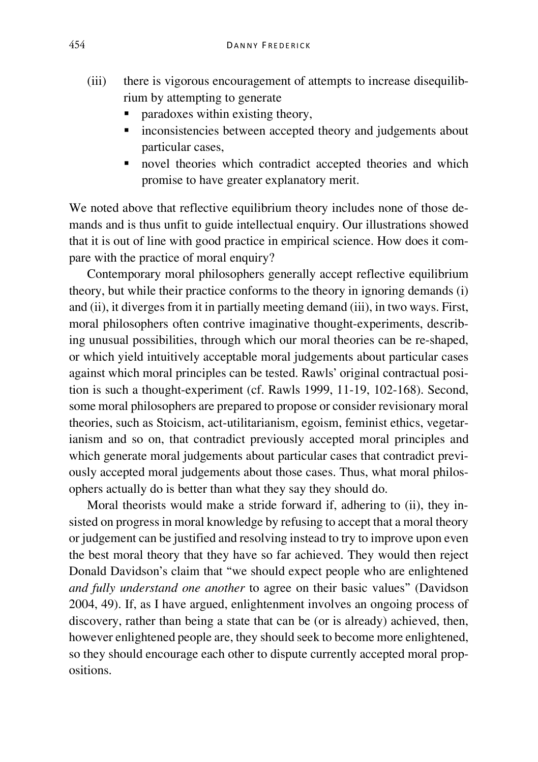- (iii) there is vigorous encouragement of attempts to increase disequilibrium by attempting to generate
	- paradoxes within existing theory,
	- **Exercise** inconsistencies between accepted theory and judgements about particular cases,
	- novel theories which contradict accepted theories and which promise to have greater explanatory merit.

We noted above that reflective equilibrium theory includes none of those demands and is thus unfit to guide intellectual enquiry. Our illustrations showed that it is out of line with good practice in empirical science. How does it compare with the practice of moral enquiry?

Contemporary moral philosophers generally accept reflective equilibrium theory, but while their practice conforms to the theory in ignoring demands (i) and (ii), it diverges from it in partially meeting demand (iii), in two ways. First, moral philosophers often contrive imaginative thought-experiments, describing unusual possibilities, through which our moral theories can be re-shaped, or which yield intuitively acceptable moral judgements about particular cases against which moral principles can be tested. Rawls' original contractual position is such a thought-experiment (cf. Rawls 1999, 11-19, 102-168). Second, some moral philosophers are prepared to propose or consider revisionary moral theories, such as Stoicism, act-utilitarianism, egoism, feminist ethics, vegetarianism and so on, that contradict previously accepted moral principles and which generate moral judgements about particular cases that contradict previously accepted moral judgements about those cases. Thus, what moral philosophers actually do is better than what they say they should do.

Moral theorists would make a stride forward if, adhering to (ii), they insisted on progress in moral knowledge by refusing to accept that a moral theory or judgement can be justified and resolving instead to try to improve upon even the best moral theory that they have so far achieved. They would then reject Donald Davidson's claim that "we should expect people who are enlightened *and fully understand one another* to agree on their basic values" (Davidson 2004, 49). If, as I have argued, enlightenment involves an ongoing process of discovery, rather than being a state that can be (or is already) achieved, then, however enlightened people are, they should seek to become more enlightened, so they should encourage each other to dispute currently accepted moral propositions.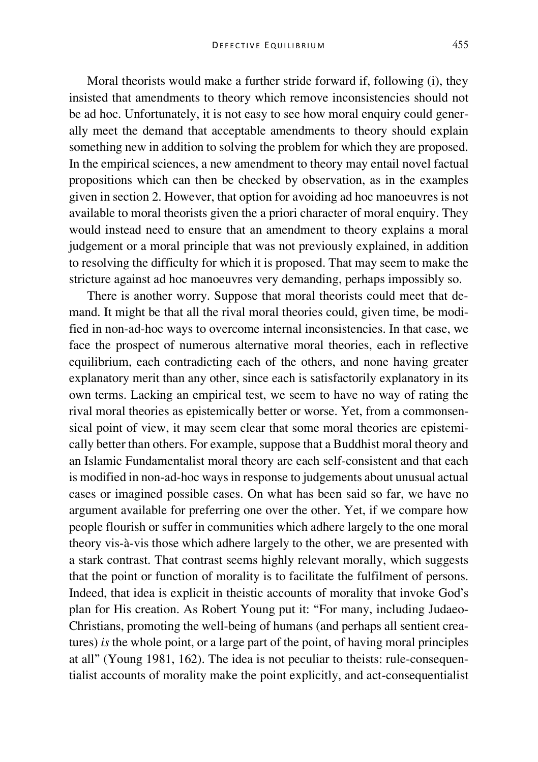Moral theorists would make a further stride forward if, following (i), they insisted that amendments to theory which remove inconsistencies should not be ad hoc. Unfortunately, it is not easy to see how moral enquiry could generally meet the demand that acceptable amendments to theory should explain something new in addition to solving the problem for which they are proposed. In the empirical sciences, a new amendment to theory may entail novel factual propositions which can then be checked by observation, as in the examples given in section 2. However, that option for avoiding ad hoc manoeuvres is not available to moral theorists given the a priori character of moral enquiry. They would instead need to ensure that an amendment to theory explains a moral judgement or a moral principle that was not previously explained, in addition to resolving the difficulty for which it is proposed. That may seem to make the stricture against ad hoc manoeuvres very demanding, perhaps impossibly so.

There is another worry. Suppose that moral theorists could meet that demand. It might be that all the rival moral theories could, given time, be modified in non-ad-hoc ways to overcome internal inconsistencies. In that case, we face the prospect of numerous alternative moral theories, each in reflective equilibrium, each contradicting each of the others, and none having greater explanatory merit than any other, since each is satisfactorily explanatory in its own terms. Lacking an empirical test, we seem to have no way of rating the rival moral theories as epistemically better or worse. Yet, from a commonsensical point of view, it may seem clear that some moral theories are epistemically better than others. For example, suppose that a Buddhist moral theory and an Islamic Fundamentalist moral theory are each self-consistent and that each is modified in non-ad-hoc ways in response to judgements about unusual actual cases or imagined possible cases. On what has been said so far, we have no argument available for preferring one over the other. Yet, if we compare how people flourish or suffer in communities which adhere largely to the one moral theory vis-à-vis those which adhere largely to the other, we are presented with a stark contrast. That contrast seems highly relevant morally, which suggests that the point or function of morality is to facilitate the fulfilment of persons. Indeed, that idea is explicit in theistic accounts of morality that invoke God's plan for His creation. As Robert Young put it: "For many, including Judaeo-Christians, promoting the well-being of humans (and perhaps all sentient creatures) *is* the whole point, or a large part of the point, of having moral principles at all" (Young 1981, 162). The idea is not peculiar to theists: rule-consequentialist accounts of morality make the point explicitly, and act-consequentialist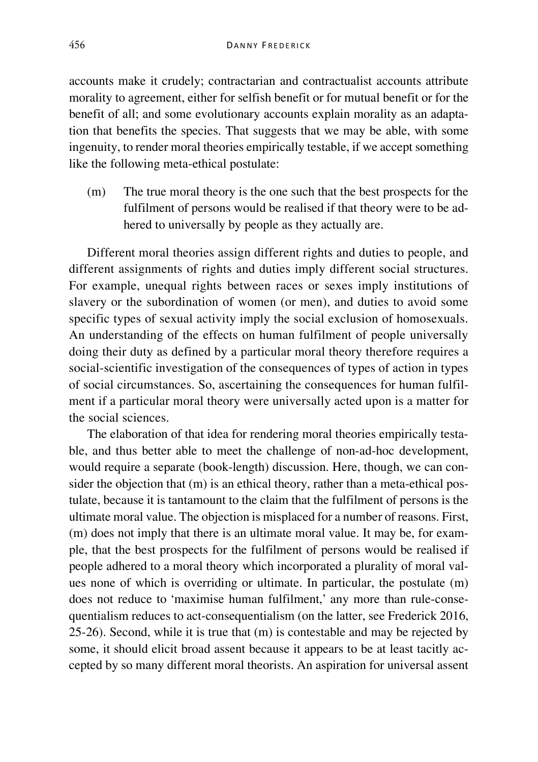accounts make it crudely; contractarian and contractualist accounts attribute morality to agreement, either for selfish benefit or for mutual benefit or for the benefit of all; and some evolutionary accounts explain morality as an adaptation that benefits the species. That suggests that we may be able, with some ingenuity, to render moral theories empirically testable, if we accept something like the following meta-ethical postulate:

(m) The true moral theory is the one such that the best prospects for the fulfilment of persons would be realised if that theory were to be adhered to universally by people as they actually are.

Different moral theories assign different rights and duties to people, and different assignments of rights and duties imply different social structures. For example, unequal rights between races or sexes imply institutions of slavery or the subordination of women (or men), and duties to avoid some specific types of sexual activity imply the social exclusion of homosexuals. An understanding of the effects on human fulfilment of people universally doing their duty as defined by a particular moral theory therefore requires a social-scientific investigation of the consequences of types of action in types of social circumstances. So, ascertaining the consequences for human fulfilment if a particular moral theory were universally acted upon is a matter for the social sciences.

The elaboration of that idea for rendering moral theories empirically testable, and thus better able to meet the challenge of non-ad-hoc development, would require a separate (book-length) discussion. Here, though, we can consider the objection that (m) is an ethical theory, rather than a meta-ethical postulate, because it is tantamount to the claim that the fulfilment of persons is the ultimate moral value. The objection is misplaced for a number of reasons. First, (m) does not imply that there is an ultimate moral value. It may be, for example, that the best prospects for the fulfilment of persons would be realised if people adhered to a moral theory which incorporated a plurality of moral values none of which is overriding or ultimate. In particular, the postulate (m) does not reduce to 'maximise human fulfilment,' any more than rule-consequentialism reduces to act-consequentialism (on the latter, see Frederick 2016, 25-26). Second, while it is true that (m) is contestable and may be rejected by some, it should elicit broad assent because it appears to be at least tacitly accepted by so many different moral theorists. An aspiration for universal assent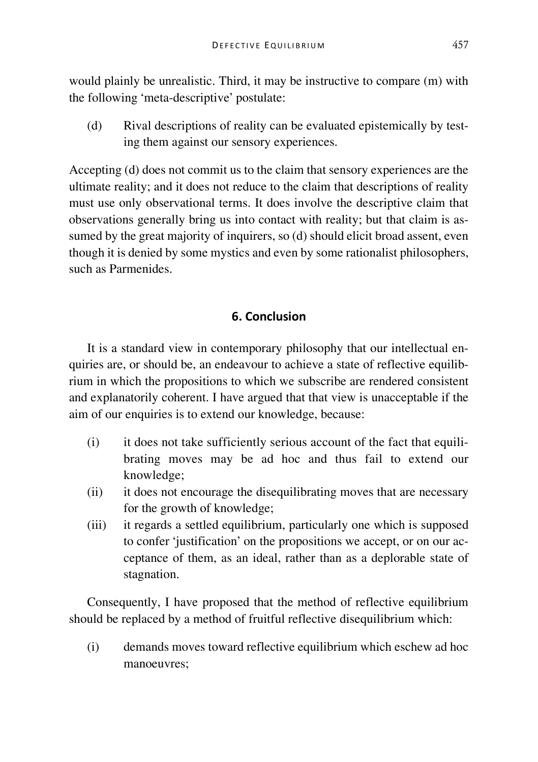would plainly be unrealistic. Third, it may be instructive to compare (m) with the following 'meta-descriptive' postulate:

(d) Rival descriptions of reality can be evaluated epistemically by testing them against our sensory experiences.

Accepting (d) does not commit us to the claim that sensory experiences are the ultimate reality; and it does not reduce to the claim that descriptions of reality must use only observational terms. It does involve the descriptive claim that observations generally bring us into contact with reality; but that claim is assumed by the great majority of inquirers, so (d) should elicit broad assent, even though it is denied by some mystics and even by some rationalist philosophers, such as Parmenides.

# **6. Conclusion**

It is a standard view in contemporary philosophy that our intellectual enquiries are, or should be, an endeavour to achieve a state of reflective equilibrium in which the propositions to which we subscribe are rendered consistent and explanatorily coherent. I have argued that that view is unacceptable if the aim of our enquiries is to extend our knowledge, because:

- (i) it does not take sufficiently serious account of the fact that equilibrating moves may be ad hoc and thus fail to extend our knowledge;
- (ii) it does not encourage the disequilibrating moves that are necessary for the growth of knowledge;
- (iii) it regards a settled equilibrium, particularly one which is supposed to confer 'justification' on the propositions we accept, or on our acceptance of them, as an ideal, rather than as a deplorable state of stagnation.

Consequently, I have proposed that the method of reflective equilibrium should be replaced by a method of fruitful reflective disequilibrium which:

(i) demands moves toward reflective equilibrium which eschew ad hoc manoeuvres;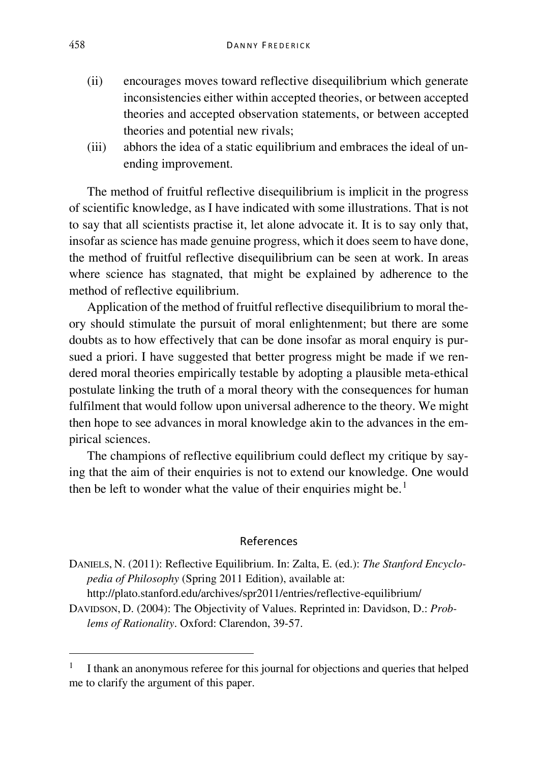- (ii) encourages moves toward reflective disequilibrium which generate inconsistencies either within accepted theories, or between accepted theories and accepted observation statements, or between accepted theories and potential new rivals;
- (iii) abhors the idea of a static equilibrium and embraces the ideal of unending improvement.

The method of fruitful reflective disequilibrium is implicit in the progress of scientific knowledge, as I have indicated with some illustrations. That is not to say that all scientists practise it, let alone advocate it. It is to say only that, insofar as science has made genuine progress, which it does seem to have done, the method of fruitful reflective disequilibrium can be seen at work. In areas where science has stagnated, that might be explained by adherence to the method of reflective equilibrium.

Application of the method of fruitful reflective disequilibrium to moral theory should stimulate the pursuit of moral enlightenment; but there are some doubts as to how effectively that can be done insofar as moral enquiry is pursued a priori. I have suggested that better progress might be made if we rendered moral theories empirically testable by adopting a plausible meta-ethical postulate linking the truth of a moral theory with the consequences for human fulfilment that would follow upon universal adherence to the theory. We might then hope to see advances in moral knowledge akin to the advances in the empirical sciences.

The champions of reflective equilibrium could deflect my critique by saying that the aim of their enquiries is not to extend our knowledge. One would then be left to wonder what the value of their enquiries might be.<sup>[1](#page-15-0)</sup>

#### References

DANIELS, N. (2011): Reflective Equilibrium. In: Zalta, E. (ed.): *The Stanford Encyclopedia of Philosophy* (Spring 2011 Edition), available at: http://plato.stanford.edu/archives/spr2011/entries/reflective-equilibrium/

DAVIDSON, D. (2004): The Objectivity of Values. Reprinted in: Davidson, D.: *Problems of Rationality*. Oxford: Clarendon, 39-57.

<span id="page-15-0"></span> <sup>1</sup> I thank an anonymous referee for this journal for objections and queries that helped me to clarify the argument of this paper.